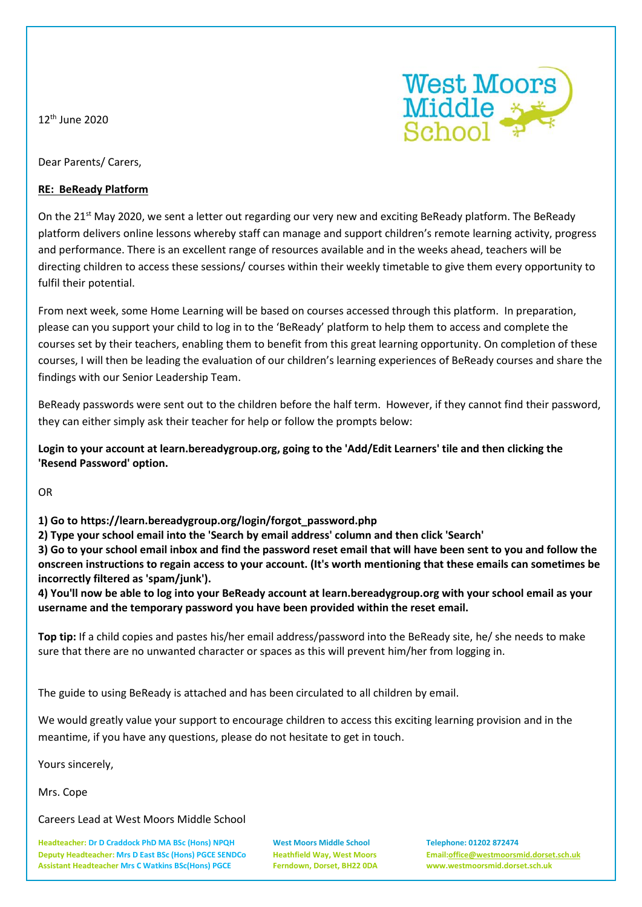12th June 2020



Dear Parents/ Carers,

## **RE: BeReady Platform**

On the 21<sup>st</sup> May 2020, we sent a letter out regarding our very new and exciting BeReady platform. The BeReady platform delivers online lessons whereby staff can manage and support children's remote learning activity, progress and performance. There is an excellent range of resources available and in the weeks ahead, teachers will be directing children to access these sessions/ courses within their weekly timetable to give them every opportunity to fulfil their potential.

From next week, some Home Learning will be based on courses accessed through this platform. In preparation, please can you support your child to log in to the 'BeReady' platform to help them to access and complete the courses set by their teachers, enabling them to benefit from this great learning opportunity. On completion of these courses, I will then be leading the evaluation of our children's learning experiences of BeReady courses and share the findings with our Senior Leadership Team.

BeReady passwords were sent out to the children before the half term. However, if they cannot find their password, they can either simply ask their teacher for help or follow the prompts below:

**Login to your account at learn.bereadygroup.org, going to the 'Add/Edit Learners' tile and then clicking the 'Resend Password' option.**

OR

## **1) Go to https://learn.bereadygroup.org/login/forgot\_password.php**

**2) Type your school email into the 'Search by email address' column and then click 'Search'**

**3) Go to your school email inbox and find the password reset email that will have been sent to you and follow the onscreen instructions to regain access to your account. (It's worth mentioning that these emails can sometimes be incorrectly filtered as 'spam/junk').**

**4) You'll now be able to log into your BeReady account at learn.bereadygroup.org with your school email as your username and the temporary password you have been provided within the reset email.**

**Top tip:** If a child copies and pastes his/her email address/password into the BeReady site, he/ she needs to make sure that there are no unwanted character or spaces as this will prevent him/her from logging in.

The guide to using BeReady is attached and has been circulated to all children by email.

We would greatly value your support to encourage children to access this exciting learning provision and in the meantime, if you have any questions, please do not hesitate to get in touch.

Yours sincerely,

Mrs. Cope

Careers Lead at West Moors Middle School

**Headteacher: Dr D Craddock PhD MA BSc (Hons) NPQH West Moors Middle School Telephone: 01202 872474 Deputy Headteacher: Mrs D East BSc (Hons) PGCE SENDCo Heathfield Way, West Moors Email[:office@westmoorsmid.dorset.sch.uk](mailto:office@westmoorsmid.dorset.sch.uk) Assistant Headteacher Mrs C Watkins BSc(Hons) PGCE Ferndown, Dorset, BH22 0DA www.westmoorsmid.dorset.sch.uk**